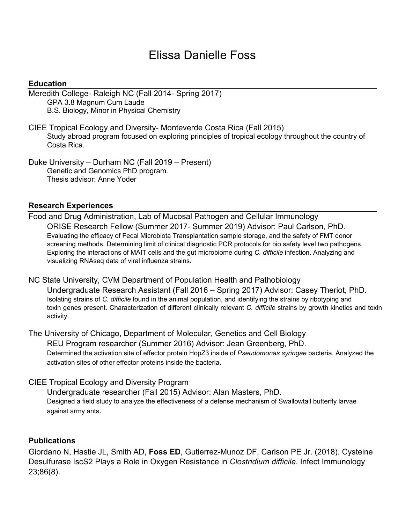# Elissa Danielle Foss

### **Education**

Meredith College- Raleigh NC (Fall 2014- Spring 2017) GPA 3.8 Magnum Cum Laude B.S. Biology, Minor in Physical Chemistry

CIEE Tropical Ecology and Diversity- Monteverde Costa Rica (Fall 2015) Study abroad program focused on exploring principles of tropical ecology throughout the country of Costa Rica.

Duke University – Durham NC (Fall 2019 – Present) Genetic and Genomics PhD program. Thesis advisor: Anne Yoder

#### **Research Experiences**

Food and Drug Administration, Lab of Mucosal Pathogen and Cellular Immunology ORISE Research Fellow (Summer 2017- Summer 2019) Advisor: Paul Carlson, PhD. Evaluating the efficacy of Fecal Microbiota Transplantation sample storage, and the safety of FMT donor screening methods. Determining limit of clinical diagnostic PCR protocols for bio safety level two pathogens. Exploring the interactions of MAIT cells and the gut microbiome during *C. difficile* infection. Analyzing and visualizing RNAseq data of viral influenza strains.

NC State University, CVM Department of Population Health and Pathobiology Undergraduate Research Assistant (Fall 2016 – Spring 2017) Advisor: Casey Theriot, PhD. Isolating strains of *C. difficile* found in the animal population, and identifying the strains by ribotyping and toxin genes present. Characterization of different clinically relevant *C. difficile* strains by growth kinetics and toxin activity.

The University of Chicago, Department of Molecular, Genetics and Cell Biology REU Program researcher (Summer 2016) Advisor: Jean Greenberg, PhD. Determined the activation site of effector protein HopZ3 inside of *Pseudomonas syringae* bacteria. Analyzed the activation sites of other effector proteins inside the bacteria.

CIEE Tropical Ecology and Diversity Program

Undergraduate researcher (Fall 2015) Advisor: Alan Masters, PhD. Designed a field study to analyze the effectiveness of a defense mechanism of Swallowtail butterfly larvae against army ants.

#### **Publications**

Giordano N, Hastie JL, Smith AD, **Foss ED**, Gutierrez-Munoz DF, Carlson PE Jr. (2018). Cysteine Desulfurase IscS2 Plays a Role in Oxygen Resistance in *Clostridium difficile*. Infect Immunology 23;86(8).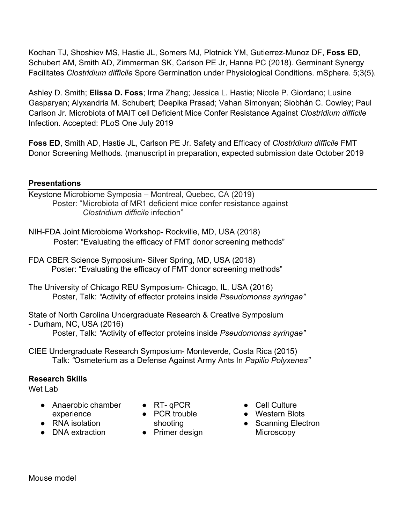Kochan TJ, Shoshiev MS, Hastie JL, Somers MJ, Plotnick YM, Gutierrez-Munoz DF, **Foss ED**, Schubert AM, Smith AD, Zimmerman SK, Carlson PE Jr, Hanna PC (2018). Germinant Synergy Facilitates *Clostridium difficile* Spore Germination under Physiological Conditions. mSphere. 5;3(5).

Ashley D. Smith; **Elissa D. Foss**; Irma Zhang; Jessica L. Hastie; Nicole P. Giordano; Lusine Gasparyan; Alyxandria M. Schubert; Deepika Prasad; Vahan Simonyan; Siobhán C. Cowley; Paul Carlson Jr. Microbiota of MAIT cell Deficient Mice Confer Resistance Against *Clostridium difficile* Infection. Accepted: PLoS One July 2019

**Foss ED**, Smith AD, Hastie JL, Carlson PE Jr. Safety and Efficacy of *Clostridium difficile* FMT Donor Screening Methods. (manuscript in preparation, expected submission date October 2019

## **Presentations**

Keystone Microbiome Symposia – Montreal, Quebec, CA (2019) Poster: "Microbiota of MR1 deficient mice confer resistance against  *Clostridium difficile* infection"

NIH-FDA Joint Microbiome Workshop- Rockville, MD, USA (2018) Poster: "Evaluating the efficacy of FMT donor screening methods"

FDA CBER Science Symposium- Silver Spring, MD, USA (2018) Poster: "Evaluating the efficacy of FMT donor screening methods"

The University of Chicago REU Symposium- Chicago, IL, USA (2016) Poster, Talk: *"*Activity of effector proteins inside *Pseudomonas syringae"*

State of North Carolina Undergraduate Research & Creative Symposium - Durham, NC, USA (2016) Poster, Talk: *"*Activity of effector proteins inside *Pseudomonas syringae"*

CIEE Undergraduate Research Symposium- Monteverde, Costa Rica (2015) Talk: *"*Osmeterium as a Defense Against Army Ants In *Papilio Polyxenes"*

## **Research Skills**

Wet Lab

- Anaerobic chamber experience
- RNA isolation
- DNA extraction
- $\bullet$  RT-qPCR
- PCR trouble shooting
- Primer design
- Cell Culture
- Western Blots
- Scanning Electron **Microscopy**

Mouse model